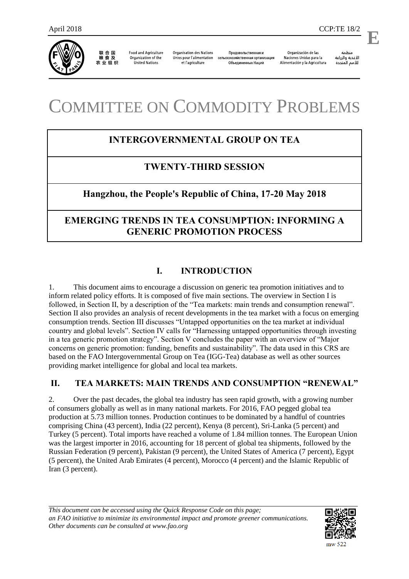

联合国<br>粮食及 农业组织

**Food and Agriculture** Organization of the **United Nations** 

**Organisation des Nations** Unies pour l'alimentation et l'agriculture

Продовольственная и сельскохозяйственная организация Объединенных Наций

Organización de las Naciones Unidas para la Alimentación y la Agricultura

منظمة الأغذية والزراعة للأمم المتحدة

.

**E**

# COMMITTEE ON COMMODITY PROBLEMS

# **INTERGOVERNMENTAL GROUP ON TEA**

# **TWENTY-THIRD SESSION**

## **Hangzhou, the People's Republic of China, 17-20 May 2018**

# **EMERGING TRENDS IN TEA CONSUMPTION: INFORMING A GENERIC PROMOTION PROCESS**

## **I. INTRODUCTION**

1. This document aims to encourage a discussion on generic tea promotion initiatives and to inform related policy efforts. It is composed of five main sections. The overview in Section I is followed, in Section II, by a description of the "Tea markets: main trends and consumption renewal". Section II also provides an analysis of recent developments in the tea market with a focus on emerging consumption trends. Section III discusses "Untapped opportunities on the tea market at individual country and global levels". Section IV calls for "Harnessing untapped opportunities through investing in a tea generic promotion strategy". Section V concludes the paper with an overview of "Major concerns on generic promotion: funding, benefits and sustainability". The data used in this CRS are based on the FAO Intergovernmental Group on Tea (IGG-Tea) database as well as other sources providing market intelligence for global and local tea markets.

## **II. TEA MARKETS: MAIN TRENDS AND CONSUMPTION "RENEWAL"**

2. Over the past decades, the global tea industry has seen rapid growth, with a growing number of consumers globally as well as in many national markets. For 2016, FAO pegged global tea production at 5.73 million tonnes. Production continues to be dominated by a handful of countries comprising China (43 percent), India (22 percent), Kenya (8 percent), Sri-Lanka (5 percent) and Turkey (5 percent). Total imports have reached a volume of 1.84 million tonnes. The European Union was the largest importer in 2016, accounting for 18 percent of global tea shipments, followed by the Russian Federation (9 percent), Pakistan (9 percent), the United States of America (7 percent), Egypt (5 percent), the United Arab Emirates (4 percent), Morocco (4 percent) and the Islamic Republic of Iran (3 percent).

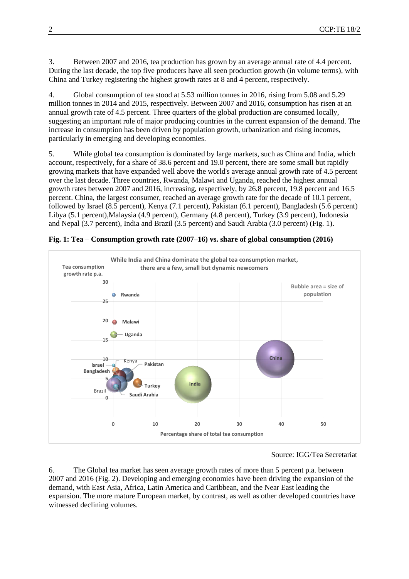3. Between 2007 and 2016, tea production has grown by an average annual rate of 4.4 percent. During the last decade, the top five producers have all seen production growth (in volume terms), with China and Turkey registering the highest growth rates at 8 and 4 percent, respectively.

4. Global consumption of tea stood at 5.53 million tonnes in 2016, rising from 5.08 and 5.29 million tonnes in 2014 and 2015, respectively. Between 2007 and 2016, consumption has risen at an annual growth rate of 4.5 percent. Three quarters of the global production are consumed locally, suggesting an important role of major producing countries in the current expansion of the demand. The increase in consumption has been driven by population growth, urbanization and rising incomes, particularly in emerging and developing economies.

5. While global tea consumption is dominated by large markets, such as China and India, which account, respectively, for a share of 38.6 percent and 19.0 percent, there are some small but rapidly growing markets that have expanded well above the world's average annual growth rate of 4.5 percent over the last decade. Three countries, Rwanda, Malawi and Uganda, reached the highest annual growth rates between 2007 and 2016, increasing, respectively, by 26.8 percent, 19.8 percent and 16.5 percent. China, the largest consumer, reached an average growth rate for the decade of 10.1 percent, followed by Israel (8.5 percent), Kenya (7.1 percent), Pakistan (6.1 percent), Bangladesh (5.6 percent) Libya (5.1 percent),Malaysia (4.9 percent), Germany (4.8 percent), Turkey (3.9 percent), Indonesia and Nepal (3.7 percent), India and Brazil (3.5 percent) and Saudi Arabia (3.0 percent) (Fig. 1).



**Fig. 1: Tea** – **Consumption growth rate (2007–16) vs. share of global consumption (2016)**

#### Source: IGG/Tea Secretariat

6. The Global tea market has seen average growth rates of more than 5 percent p.a. between 2007 and 2016 (Fig. 2). Developing and emerging economies have been driving the expansion of the demand, with East Asia, Africa, Latin America and Caribbean, and the Near East leading the expansion. The more mature European market, by contrast, as well as other developed countries have witnessed declining volumes.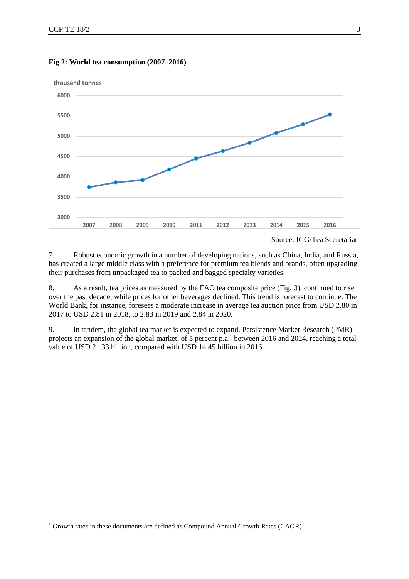l



**Fig 2: World tea consumption (2007–2016)**

Source: IGG/Tea Secretariat

7. Robust economic growth in a number of developing nations, such as China, India, and Russia, has created a large middle class with a preference for premium tea blends and brands, often upgrading their purchases from unpackaged tea to packed and bagged specialty varieties.

8. As a result, tea prices as measured by the FAO tea composite price (Fig. 3), continued to rise over the past decade, while prices for other beverages declined. This trend is forecast to continue. The World Bank, for instance, foresees a moderate increase in average tea auction price from USD 2.80 in 2017 to USD 2.81 in 2018, to 2.83 in 2019 and 2.84 in 2020.

9. In tandem, the global tea market is expected to expand. Persistence Market Research (PMR) projects an expansion of the global market, of 5 percent p.a.<sup>1</sup> between 2016 and 2024, reaching a total value of USD 21.33 billion, compared with USD 14.45 billion in 2016.

<sup>1</sup> Growth rates in these documents are defined as Compound Annual Growth Rates (CAGR)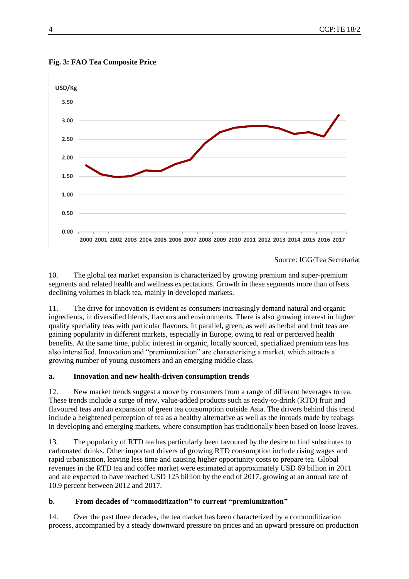

**Fig. 3: FAO Tea Composite Price**

Source: IGG/Tea Secretariat

10. The global tea market expansion is characterized by growing premium and super-premium segments and related health and wellness expectations. Growth in these segments more than offsets declining volumes in black tea, mainly in developed markets.

11. The drive for innovation is evident as consumers increasingly demand natural and organic ingredients, in diversified blends, flavours and environments. There is also growing interest in higher quality speciality teas with particular flavours. In parallel, green, as well as herbal and fruit teas are gaining popularity in different markets, especially in Europe, owing to real or perceived health benefits. At the same time, public interest in organic, locally sourced, specialized premium teas has also intensified. Innovation and "premiumization" are characterising a market, which attracts a growing number of young customers and an emerging middle class.

#### **a. Innovation and new health-driven consumption trends**

12. New market trends suggest a move by consumers from a range of different beverages to tea. These trends include a surge of new, value-added products such as ready-to-drink (RTD) fruit and flavoured teas and an expansion of green tea consumption outside Asia. The drivers behind this trend include a heightened perception of tea as a healthy alternative as well as the inroads made by teabags in developing and emerging markets, where consumption has traditionally been based on loose leaves.

13. The popularity of RTD tea has particularly been favoured by the desire to find substitutes to carbonated drinks. Other important drivers of growing RTD consumption include rising wages and rapid urbanisation, leaving less time and causing higher opportunity costs to prepare tea. Global revenues in the RTD tea and coffee market were estimated at approximately USD 69 billion in 2011 and are expected to have reached USD 125 billion by the end of 2017, growing at an annual rate of 10.9 percent between 2012 and 2017.

#### **b. From decades of "commoditization" to current "premiumization"**

14. Over the past three decades, the tea market has been characterized by a commoditization process, accompanied by a steady downward pressure on prices and an upward pressure on production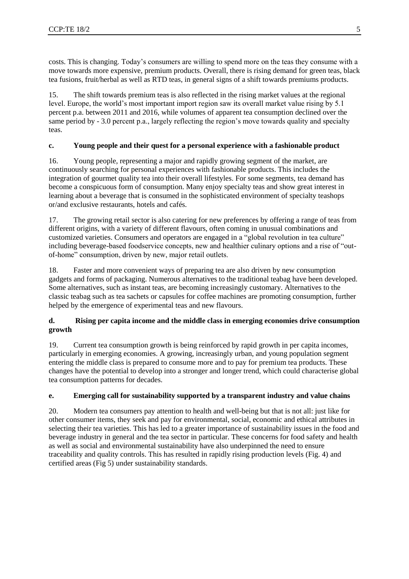costs. This is changing. Today's consumers are willing to spend more on the teas they consume with a move towards more expensive, premium products. Overall, there is rising demand for green teas, black tea fusions, fruit/herbal as well as RTD teas, in general signs of a shift towards premiums products.

15. The shift towards premium teas is also reflected in the rising market values at the regional level. Europe, the world's most important import region saw its overall market value rising by 5.1 percent p.a. between 2011 and 2016, while volumes of apparent tea consumption declined over the same period by - 3.0 percent p.a., largely reflecting the region's move towards quality and specialty teas.

#### **c. Young people and their quest for a personal experience with a fashionable product**

16. Young people, representing a major and rapidly growing segment of the market, are continuously searching for personal experiences with fashionable products. This includes the integration of gourmet quality tea into their overall lifestyles. For some segments, tea demand has become a conspicuous form of consumption. Many enjoy specialty teas and show great interest in learning about a beverage that is consumed in the sophisticated environment of specialty teashops or/and exclusive restaurants, hotels and cafés.

17. The growing retail sector is also catering for new preferences by offering a range of teas from different origins, with a variety of different flavours, often coming in unusual combinations and customized varieties. Consumers and operators are engaged in a "global revolution in tea culture" including beverage-based foodservice concepts, new and healthier culinary options and a rise of "outof-home" consumption, driven by new, major retail outlets.

18. Faster and more convenient ways of preparing tea are also driven by new consumption gadgets and forms of packaging. Numerous alternatives to the traditional teabag have been developed. Some alternatives, such as instant teas, are becoming increasingly customary. Alternatives to the classic teabag such as tea sachets or capsules for coffee machines are promoting consumption, further helped by the emergence of experimental teas and new flavours.

#### **d. Rising per capita income and the middle class in emerging economies drive consumption growth**

19. Current tea consumption growth is being reinforced by rapid growth in per capita incomes, particularly in emerging economies. A growing, increasingly urban, and young population segment entering the middle class is prepared to consume more and to pay for premium tea products. These changes have the potential to develop into a stronger and longer trend, which could characterise global tea consumption patterns for decades.

#### **e. Emerging call for sustainability supported by a transparent industry and value chains**

20. Modern tea consumers pay attention to health and well-being but that is not all: just like for other consumer items, they seek and pay for environmental, social, economic and ethical attributes in selecting their tea varieties. This has led to a greater importance of sustainability issues in the food and beverage industry in general and the tea sector in particular. These concerns for food safety and health as well as social and environmental sustainability have also underpinned the need to ensure traceability and quality controls. This has resulted in rapidly rising production levels (Fig. 4) and certified areas (Fig 5) under sustainability standards.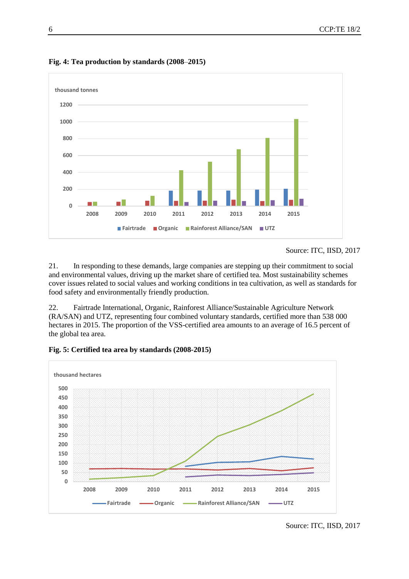

**Fig. 4: Tea production by standards (2008**–**2015)**

21. In responding to these demands, large companies are stepping up their commitment to social and environmental values, driving up the market share of certified tea. Most sustainability schemes cover issues related to social values and working conditions in tea cultivation, as well as standards for food safety and environmentally friendly production.

22. Fairtrade International, Organic, Rainforest Alliance/Sustainable Agriculture Network (RA/SAN) and UTZ, representing four combined voluntary standards, certified more than 538 000 hectares in 2015. The proportion of the VSS-certified area amounts to an average of 16.5 percent of the global tea area.



**Fig. 5: Certified tea area by standards (2008-2015)**

Source: ITC, IISD, 2017

Source: ITC, IISD, 2017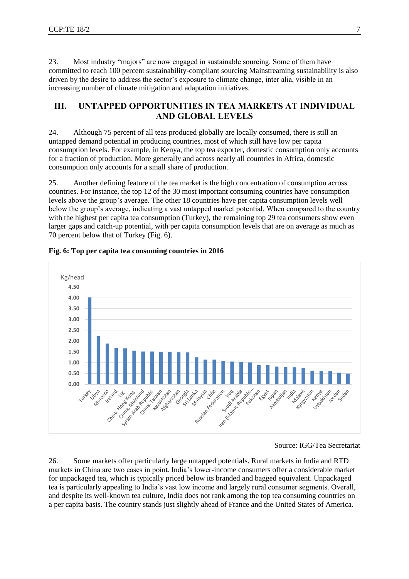23. Most industry "majors" are now engaged in sustainable sourcing. Some of them have committed to reach 100 percent sustainability-compliant sourcing Mainstreaming sustainability is also driven by the desire to address the sector's exposure to climate change, inter alia, visible in an increasing number of climate mitigation and adaptation initiatives.

### **III. UNTAPPED OPPORTUNITIES IN TEA MARKETS AT INDIVIDUAL AND GLOBAL LEVELS**

24. Although 75 percent of all teas produced globally are locally consumed, there is still an untapped demand potential in producing countries, most of which still have low per capita consumption levels. For example, in Kenya, the top tea exporter, domestic consumption only accounts for a fraction of production. More generally and across nearly all countries in Africa, domestic consumption only accounts for a small share of production.

25. Another defining feature of the tea market is the high concentration of consumption across countries. For instance, the top 12 of the 30 most important consuming countries have consumption levels above the group's average. The other 18 countries have per capita consumption levels well below the group's average, indicating a vast untapped market potential. When compared to the country with the highest per capita tea consumption (Turkey), the remaining top 29 tea consumers show even larger gaps and catch-up potential, with per capita consumption levels that are on average as much as 70 percent below that of Turkey (Fig. 6).



#### **Fig. 6: Top per capita tea consuming countries in 2016**

Source: IGG/Tea Secretariat

26. Some markets offer particularly large untapped potentials. Rural markets in India and RTD markets in China are two cases in point. India's lower-income consumers offer a considerable market for unpackaged tea, which is typically priced below its branded and bagged equivalent. Unpackaged tea is particularly appealing to India's vast low income and largely rural consumer segments. Overall, and despite its well-known tea culture, India does not rank among the top tea consuming countries on a per capita basis. The country stands just slightly ahead of France and the United States of America.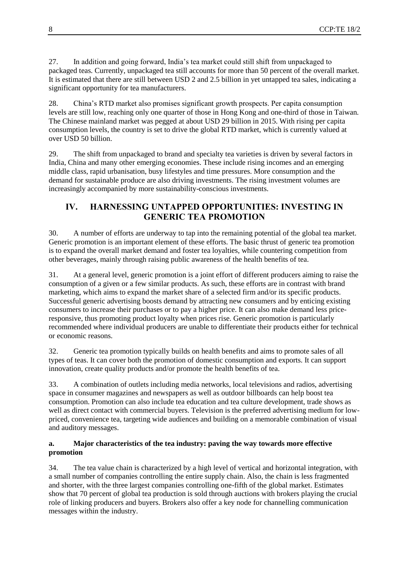27. In addition and going forward, India's tea market could still shift from unpackaged to packaged teas. Currently, unpackaged tea still accounts for more than 50 percent of the overall market. It is estimated that there are still between USD 2 and 2.5 billion in yet untapped tea sales, indicating a significant opportunity for tea manufacturers.

28. China's RTD market also promises significant growth prospects. Per capita consumption levels are still low, reaching only one quarter of those in Hong Kong and one-third of those in Taiwan. The Chinese mainland market was pegged at about USD [29 billion](http://www.worldteanews.com/news/bringing-rtd-tea-energy-drink-shadow) in 2015. With rising per capita consumption levels, the country is set to drive the global RTD market, which is currently valued at over USD 50 billion.

29. The shift from unpackaged to brand and specialty tea varieties is driven by several factors in India, China and many other emerging economies. These include rising incomes and an emerging middle class, rapid urbanisation, busy lifestyles and time pressures. More consumption and the demand for sustainable produce are also driving investments. The rising investment volumes are increasingly accompanied by more sustainability-conscious investments.

## **IV. HARNESSING UNTAPPED OPPORTUNITIES: INVESTING IN GENERIC TEA PROMOTION**

30. A number of efforts are underway to tap into the remaining potential of the global tea market. Generic promotion is an important element of these efforts. The basic thrust of generic tea promotion is to expand the overall market demand and foster tea loyalties, while countering competition from other beverages, mainly through raising public awareness of the health benefits of tea.

31. At a general level, generic promotion is a joint effort of different producers aiming to raise the consumption of a given or a few similar products. As such, these efforts are in contrast with brand marketing, which aims to expand the market share of a selected firm and/or its specific products. Successful generic advertising boosts demand by attracting new consumers and by enticing existing consumers to increase their purchases or to pay a higher price. It can also make demand less priceresponsive, thus promoting product loyalty when prices rise. Generic promotion is particularly recommended where individual producers are unable to differentiate their products either for technical or economic reasons.

32. Generic tea promotion typically builds on health benefits and aims to promote sales of all types of teas. It can cover both the promotion of domestic consumption and exports. It can support innovation, create quality products and/or promote the health benefits of tea.

33. A combination of outlets including media networks, local televisions and radios, advertising space in consumer magazines and newspapers as well as outdoor billboards can help boost tea consumption. Promotion can also include tea education and tea culture development, trade shows as well as direct contact with commercial buyers. Television is the preferred advertising medium for lowpriced, convenience tea, targeting wide audiences and building on a memorable combination of visual and auditory messages.

#### **a. Major characteristics of the tea industry: paving the way towards more effective promotion**

34. The tea value chain is characterized by a high level of vertical and horizontal integration, with a small number of companies controlling the entire supply chain. Also, the chain is less fragmented and shorter, with the three largest companies controlling one-fifth of the global market. Estimates show that 70 percent of global tea production is sold through auctions with brokers playing the crucial role of linking producers and buyers. Brokers also offer a key node for channelling communication messages within the industry.